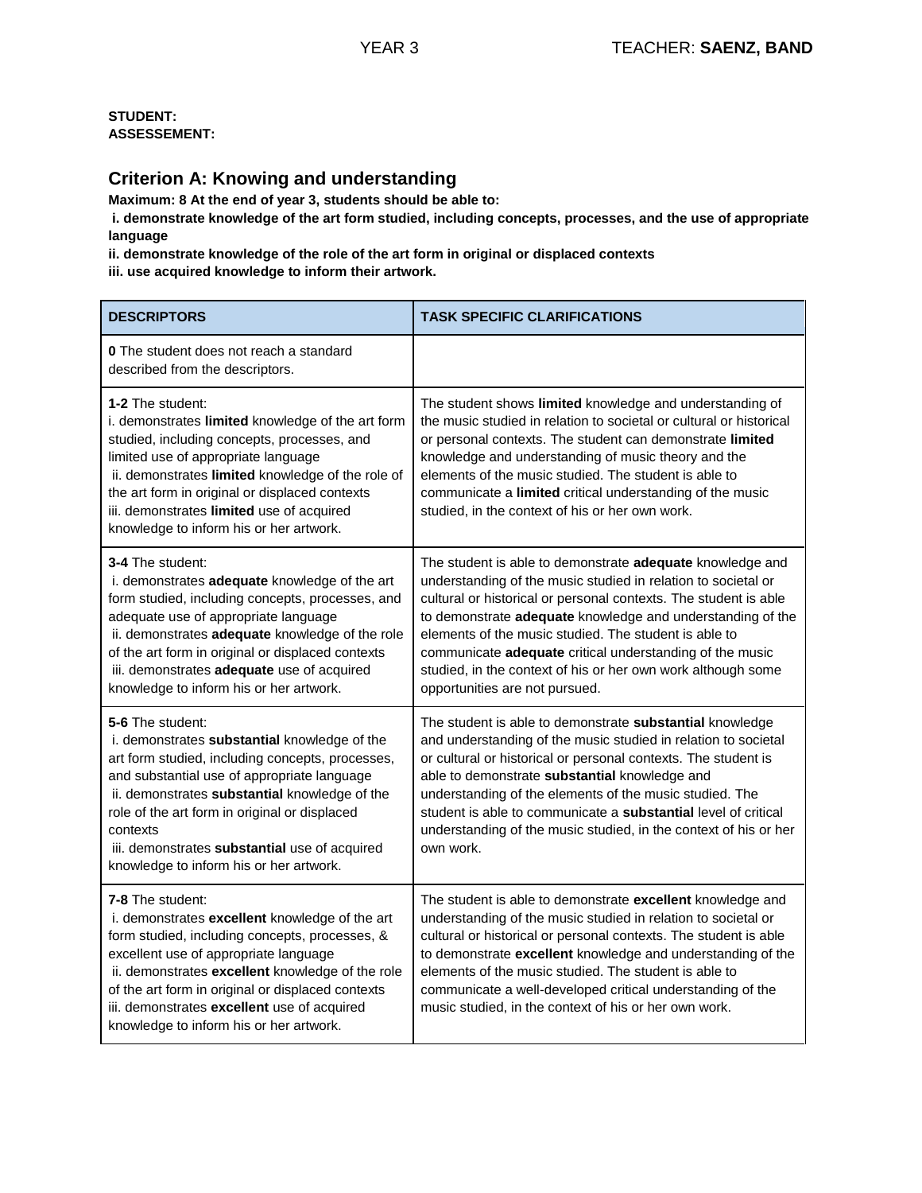### **Criterion A: Knowing and understanding**

**Maximum: 8 At the end of year 3, students should be able to:**

**i. demonstrate knowledge of the art form studied, including concepts, processes, and the use of appropriate language** 

**ii. demonstrate knowledge of the role of the art form in original or displaced contexts** 

**iii. use acquired knowledge to inform their artwork.**

| <b>DESCRIPTORS</b>                                                                                                                                                                                                                                                                                                                                                            | <b>TASK SPECIFIC CLARIFICATIONS</b>                                                                                                                                                                                                                                                                                                                                                                                                                                                 |
|-------------------------------------------------------------------------------------------------------------------------------------------------------------------------------------------------------------------------------------------------------------------------------------------------------------------------------------------------------------------------------|-------------------------------------------------------------------------------------------------------------------------------------------------------------------------------------------------------------------------------------------------------------------------------------------------------------------------------------------------------------------------------------------------------------------------------------------------------------------------------------|
| <b>0</b> The student does not reach a standard<br>described from the descriptors.                                                                                                                                                                                                                                                                                             |                                                                                                                                                                                                                                                                                                                                                                                                                                                                                     |
| <b>1-2 The student:</b><br>i. demonstrates limited knowledge of the art form<br>studied, including concepts, processes, and<br>limited use of appropriate language<br>ii. demonstrates limited knowledge of the role of<br>the art form in original or displaced contexts<br>iii. demonstrates limited use of acquired<br>knowledge to inform his or her artwork.             | The student shows limited knowledge and understanding of<br>the music studied in relation to societal or cultural or historical<br>or personal contexts. The student can demonstrate limited<br>knowledge and understanding of music theory and the<br>elements of the music studied. The student is able to<br>communicate a limited critical understanding of the music<br>studied, in the context of his or her own work.                                                        |
| 3-4 The student:<br>i. demonstrates adequate knowledge of the art<br>form studied, including concepts, processes, and<br>adequate use of appropriate language<br>ii. demonstrates adequate knowledge of the role<br>of the art form in original or displaced contexts<br>iii. demonstrates adequate use of acquired<br>knowledge to inform his or her artwork.                | The student is able to demonstrate adequate knowledge and<br>understanding of the music studied in relation to societal or<br>cultural or historical or personal contexts. The student is able<br>to demonstrate adequate knowledge and understanding of the<br>elements of the music studied. The student is able to<br>communicate adequate critical understanding of the music<br>studied, in the context of his or her own work although some<br>opportunities are not pursued. |
| 5-6 The student:<br>i. demonstrates substantial knowledge of the<br>art form studied, including concepts, processes,<br>and substantial use of appropriate language<br>ii. demonstrates substantial knowledge of the<br>role of the art form in original or displaced<br>contexts<br>iii. demonstrates substantial use of acquired<br>knowledge to inform his or her artwork. | The student is able to demonstrate substantial knowledge<br>and understanding of the music studied in relation to societal<br>or cultural or historical or personal contexts. The student is<br>able to demonstrate substantial knowledge and<br>understanding of the elements of the music studied. The<br>student is able to communicate a <b>substantial</b> level of critical<br>understanding of the music studied, in the context of his or her<br>own work.                  |
| 7-8 The student:<br>i. demonstrates excellent knowledge of the art<br>form studied, including concepts, processes, &<br>excellent use of appropriate language<br>ii. demonstrates excellent knowledge of the role<br>of the art form in original or displaced contexts<br>iii. demonstrates excellent use of acquired<br>knowledge to inform his or her artwork.              | The student is able to demonstrate excellent knowledge and<br>understanding of the music studied in relation to societal or<br>cultural or historical or personal contexts. The student is able<br>to demonstrate excellent knowledge and understanding of the<br>elements of the music studied. The student is able to<br>communicate a well-developed critical understanding of the<br>music studied, in the context of his or her own work.                                      |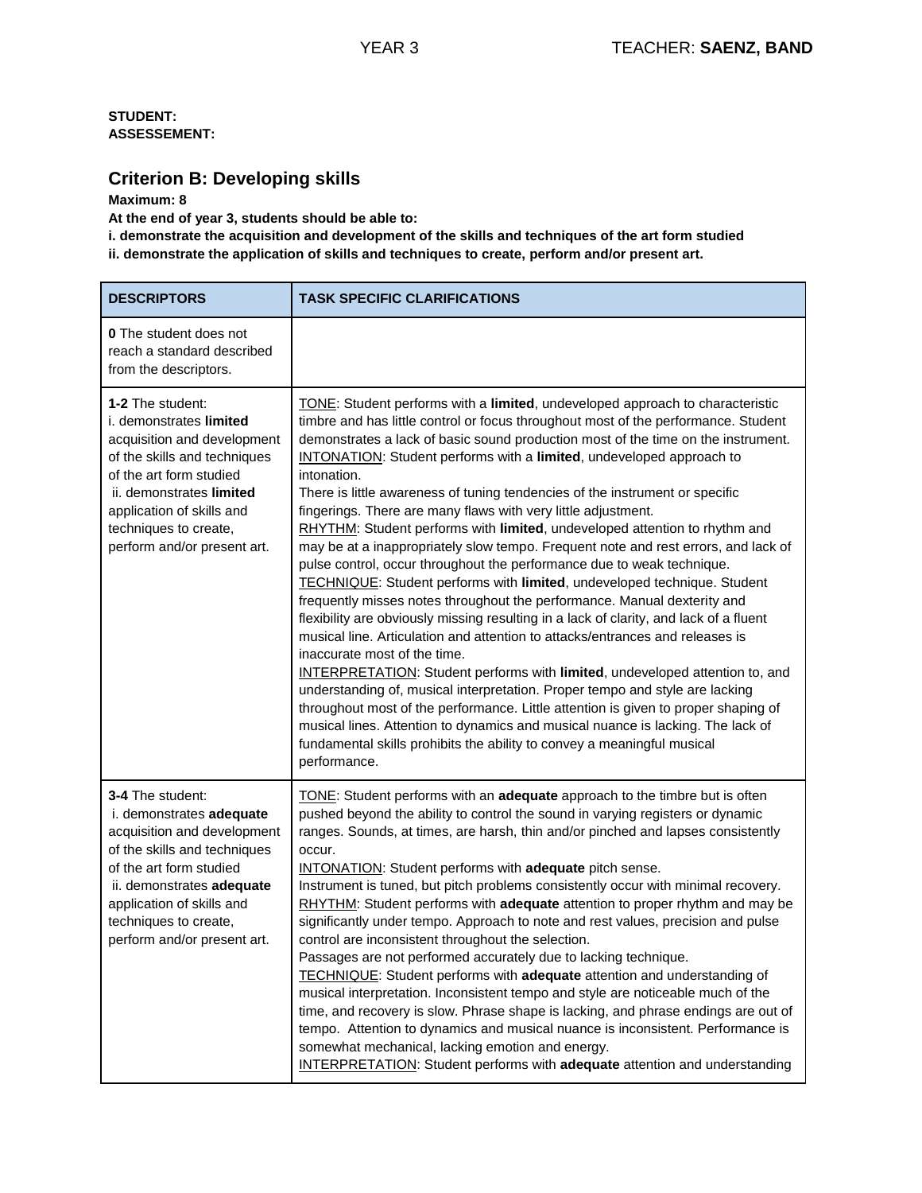## **Criterion B: Developing skills**

#### **Maximum: 8**

**At the end of year 3, students should be able to:** 

**i. demonstrate the acquisition and development of the skills and techniques of the art form studied ii. demonstrate the application of skills and techniques to create, perform and/or present art.**

| <b>DESCRIPTORS</b>                                                                                                                                                                                                                                       | <b>TASK SPECIFIC CLARIFICATIONS</b>                                                                                                                                                                                                                                                                                                                                                                                                                                                                                                                                                                                                                                                                                                                                                                                                                                                                                                                                                                                                                                                                                                                                                                                                                                                                                                                                                                                                                                                                                                                          |
|----------------------------------------------------------------------------------------------------------------------------------------------------------------------------------------------------------------------------------------------------------|--------------------------------------------------------------------------------------------------------------------------------------------------------------------------------------------------------------------------------------------------------------------------------------------------------------------------------------------------------------------------------------------------------------------------------------------------------------------------------------------------------------------------------------------------------------------------------------------------------------------------------------------------------------------------------------------------------------------------------------------------------------------------------------------------------------------------------------------------------------------------------------------------------------------------------------------------------------------------------------------------------------------------------------------------------------------------------------------------------------------------------------------------------------------------------------------------------------------------------------------------------------------------------------------------------------------------------------------------------------------------------------------------------------------------------------------------------------------------------------------------------------------------------------------------------------|
| <b>0</b> The student does not<br>reach a standard described<br>from the descriptors.                                                                                                                                                                     |                                                                                                                                                                                                                                                                                                                                                                                                                                                                                                                                                                                                                                                                                                                                                                                                                                                                                                                                                                                                                                                                                                                                                                                                                                                                                                                                                                                                                                                                                                                                                              |
| 1-2 The student:<br>i. demonstrates limited<br>acquisition and development<br>of the skills and techniques<br>of the art form studied<br>ii. demonstrates limited<br>application of skills and<br>techniques to create,<br>perform and/or present art.   | TONE: Student performs with a limited, undeveloped approach to characteristic<br>timbre and has little control or focus throughout most of the performance. Student<br>demonstrates a lack of basic sound production most of the time on the instrument.<br>INTONATION: Student performs with a limited, undeveloped approach to<br>intonation.<br>There is little awareness of tuning tendencies of the instrument or specific<br>fingerings. There are many flaws with very little adjustment.<br>RHYTHM: Student performs with limited, undeveloped attention to rhythm and<br>may be at a inappropriately slow tempo. Frequent note and rest errors, and lack of<br>pulse control, occur throughout the performance due to weak technique.<br>TECHNIQUE: Student performs with limited, undeveloped technique. Student<br>frequently misses notes throughout the performance. Manual dexterity and<br>flexibility are obviously missing resulting in a lack of clarity, and lack of a fluent<br>musical line. Articulation and attention to attacks/entrances and releases is<br>inaccurate most of the time.<br><b>INTERPRETATION:</b> Student performs with limited, undeveloped attention to, and<br>understanding of, musical interpretation. Proper tempo and style are lacking<br>throughout most of the performance. Little attention is given to proper shaping of<br>musical lines. Attention to dynamics and musical nuance is lacking. The lack of<br>fundamental skills prohibits the ability to convey a meaningful musical<br>performance. |
| 3-4 The student:<br>i. demonstrates adequate<br>acquisition and development<br>of the skills and techniques<br>of the art form studied<br>ii. demonstrates adequate<br>application of skills and<br>techniques to create,<br>perform and/or present art. | TONE: Student performs with an adequate approach to the timbre but is often<br>pushed beyond the ability to control the sound in varying registers or dynamic<br>ranges. Sounds, at times, are harsh, thin and/or pinched and lapses consistently<br>occur.<br><b>INTONATION:</b> Student performs with adequate pitch sense.<br>Instrument is tuned, but pitch problems consistently occur with minimal recovery.<br>RHYTHM: Student performs with adequate attention to proper rhythm and may be<br>significantly under tempo. Approach to note and rest values, precision and pulse<br>control are inconsistent throughout the selection.<br>Passages are not performed accurately due to lacking technique.<br><b>TECHNIQUE:</b> Student performs with adequate attention and understanding of<br>musical interpretation. Inconsistent tempo and style are noticeable much of the<br>time, and recovery is slow. Phrase shape is lacking, and phrase endings are out of<br>tempo. Attention to dynamics and musical nuance is inconsistent. Performance is<br>somewhat mechanical, lacking emotion and energy.<br><b>INTERPRETATION:</b> Student performs with adequate attention and understanding                                                                                                                                                                                                                                                                                                                                                      |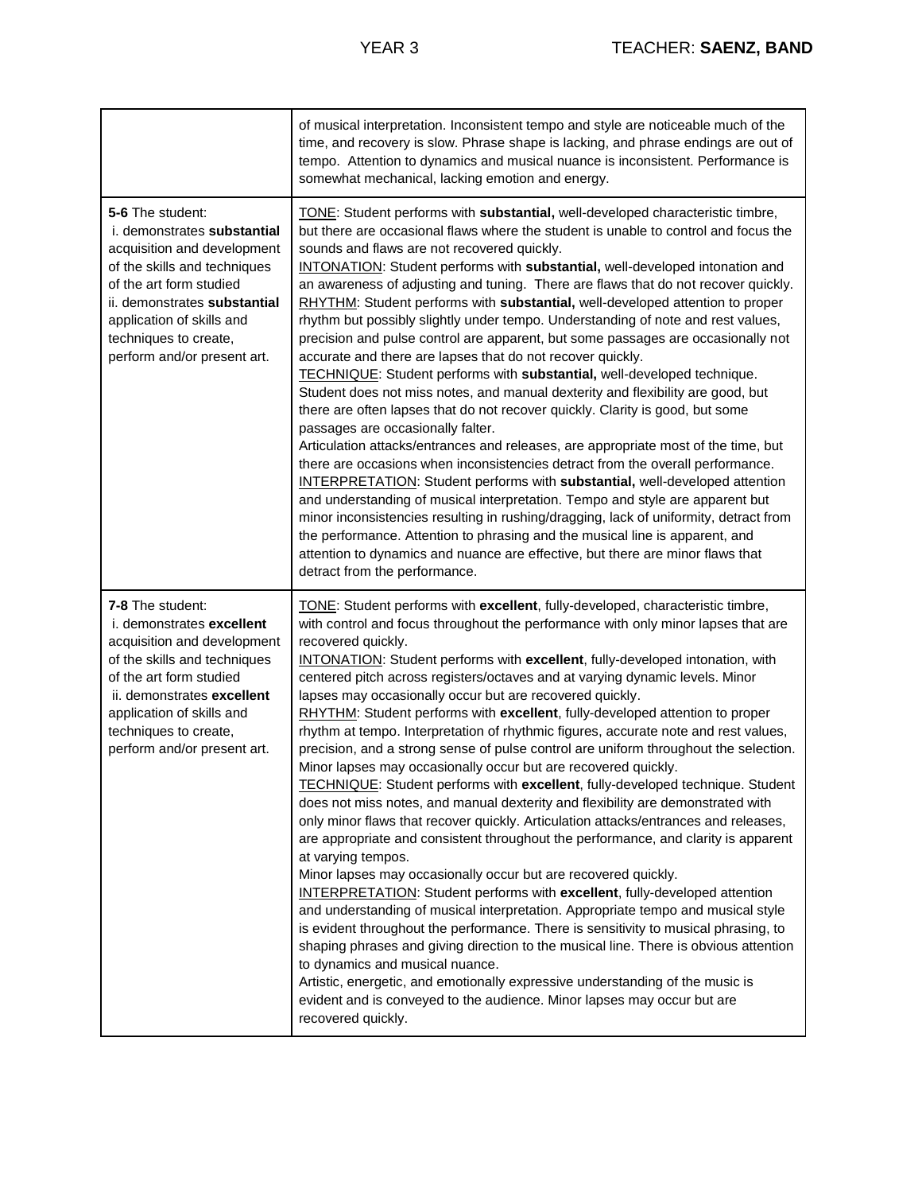|                                                                                                                                                                                                                                                                | of musical interpretation. Inconsistent tempo and style are noticeable much of the<br>time, and recovery is slow. Phrase shape is lacking, and phrase endings are out of<br>tempo. Attention to dynamics and musical nuance is inconsistent. Performance is<br>somewhat mechanical, lacking emotion and energy.                                                                                                                                                                                                                                                                                                                                                                                                                                                                                                                                                                                                                                                                                                                                                                                                                                                                                                                                                                                                                                                                                                                                                                                                                                                                                                                                                                                                                                                                       |
|----------------------------------------------------------------------------------------------------------------------------------------------------------------------------------------------------------------------------------------------------------------|---------------------------------------------------------------------------------------------------------------------------------------------------------------------------------------------------------------------------------------------------------------------------------------------------------------------------------------------------------------------------------------------------------------------------------------------------------------------------------------------------------------------------------------------------------------------------------------------------------------------------------------------------------------------------------------------------------------------------------------------------------------------------------------------------------------------------------------------------------------------------------------------------------------------------------------------------------------------------------------------------------------------------------------------------------------------------------------------------------------------------------------------------------------------------------------------------------------------------------------------------------------------------------------------------------------------------------------------------------------------------------------------------------------------------------------------------------------------------------------------------------------------------------------------------------------------------------------------------------------------------------------------------------------------------------------------------------------------------------------------------------------------------------------|
| 5-6 The student:<br>i. demonstrates substantial<br>acquisition and development<br>of the skills and techniques<br>of the art form studied<br>ii. demonstrates substantial<br>application of skills and<br>techniques to create,<br>perform and/or present art. | TONE: Student performs with substantial, well-developed characteristic timbre,<br>but there are occasional flaws where the student is unable to control and focus the<br>sounds and flaws are not recovered quickly.<br>INTONATION: Student performs with substantial, well-developed intonation and<br>an awareness of adjusting and tuning. There are flaws that do not recover quickly.<br>RHYTHM: Student performs with substantial, well-developed attention to proper<br>rhythm but possibly slightly under tempo. Understanding of note and rest values,<br>precision and pulse control are apparent, but some passages are occasionally not<br>accurate and there are lapses that do not recover quickly.<br>TECHNIQUE: Student performs with substantial, well-developed technique.<br>Student does not miss notes, and manual dexterity and flexibility are good, but<br>there are often lapses that do not recover quickly. Clarity is good, but some<br>passages are occasionally falter.<br>Articulation attacks/entrances and releases, are appropriate most of the time, but<br>there are occasions when inconsistencies detract from the overall performance.<br><b>INTERPRETATION:</b> Student performs with substantial, well-developed attention<br>and understanding of musical interpretation. Tempo and style are apparent but<br>minor inconsistencies resulting in rushing/dragging, lack of uniformity, detract from<br>the performance. Attention to phrasing and the musical line is apparent, and<br>attention to dynamics and nuance are effective, but there are minor flaws that<br>detract from the performance.                                                                                                                                      |
| 7-8 The student:<br>i. demonstrates excellent<br>acquisition and development<br>of the skills and techniques<br>of the art form studied<br>ii. demonstrates excellent<br>application of skills and<br>techniques to create,<br>perform and/or present art.     | TONE: Student performs with excellent, fully-developed, characteristic timbre,<br>with control and focus throughout the performance with only minor lapses that are<br>recovered quickly.<br>INTONATION: Student performs with excellent, fully-developed intonation, with<br>centered pitch across registers/octaves and at varying dynamic levels. Minor<br>lapses may occasionally occur but are recovered quickly.<br>RHYTHM: Student performs with excellent, fully-developed attention to proper<br>rhythm at tempo. Interpretation of rhythmic figures, accurate note and rest values,<br>precision, and a strong sense of pulse control are uniform throughout the selection.<br>Minor lapses may occasionally occur but are recovered quickly.<br><b>TECHNIQUE:</b> Student performs with excellent, fully-developed technique. Student<br>does not miss notes, and manual dexterity and flexibility are demonstrated with<br>only minor flaws that recover quickly. Articulation attacks/entrances and releases,<br>are appropriate and consistent throughout the performance, and clarity is apparent<br>at varying tempos.<br>Minor lapses may occasionally occur but are recovered quickly.<br><b>INTERPRETATION:</b> Student performs with excellent, fully-developed attention<br>and understanding of musical interpretation. Appropriate tempo and musical style<br>is evident throughout the performance. There is sensitivity to musical phrasing, to<br>shaping phrases and giving direction to the musical line. There is obvious attention<br>to dynamics and musical nuance.<br>Artistic, energetic, and emotionally expressive understanding of the music is<br>evident and is conveyed to the audience. Minor lapses may occur but are<br>recovered quickly. |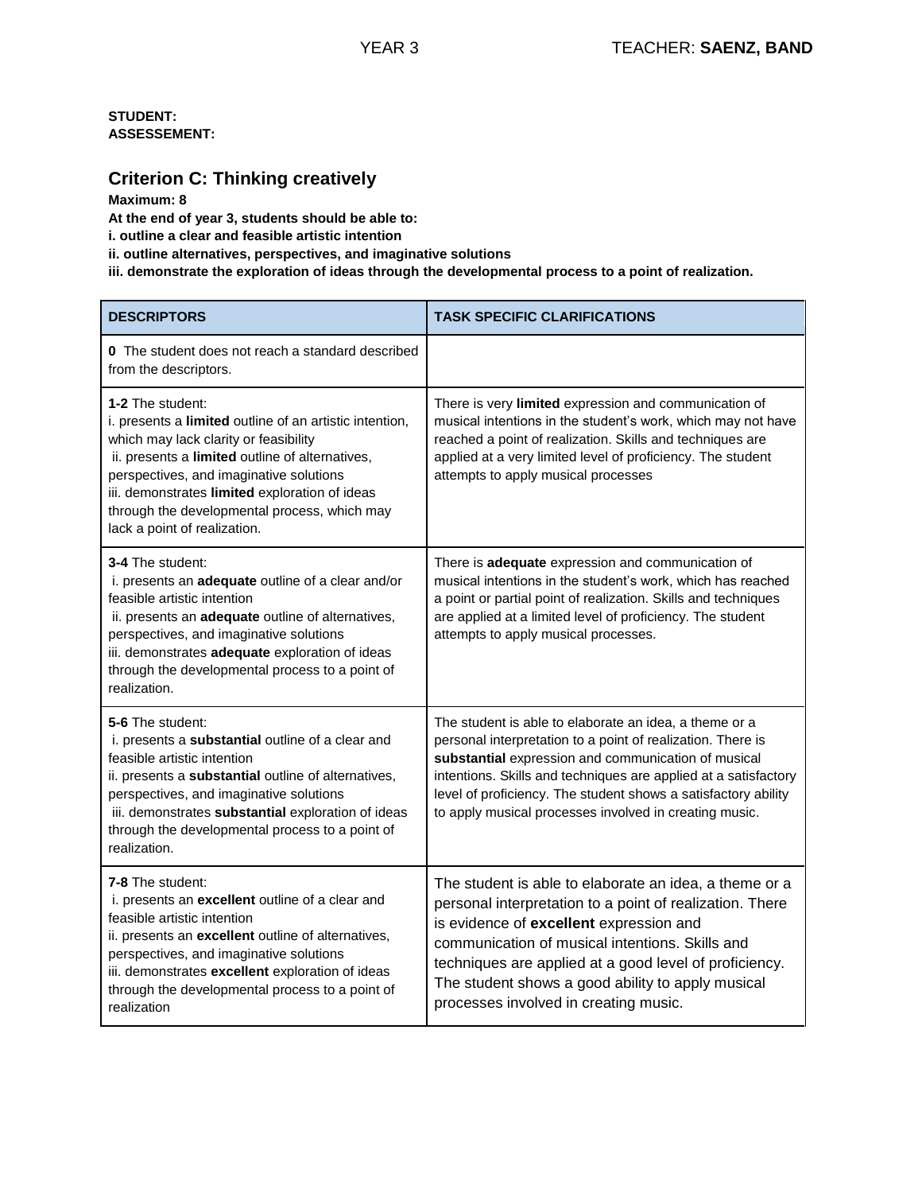# **Criterion C: Thinking creatively**

**Maximum: 8** 

**At the end of year 3, students should be able to:** 

**i. outline a clear and feasible artistic intention** 

**ii. outline alternatives, perspectives, and imaginative solutions** 

**iii. demonstrate the exploration of ideas through the developmental process to a point of realization.**

| <b>DESCRIPTORS</b>                                                                                                                                                                                                                                                                                                                                   | <b>TASK SPECIFIC CLARIFICATIONS</b>                                                                                                                                                                                                                                                                                                                                         |
|------------------------------------------------------------------------------------------------------------------------------------------------------------------------------------------------------------------------------------------------------------------------------------------------------------------------------------------------------|-----------------------------------------------------------------------------------------------------------------------------------------------------------------------------------------------------------------------------------------------------------------------------------------------------------------------------------------------------------------------------|
| <b>0</b> The student does not reach a standard described<br>from the descriptors.                                                                                                                                                                                                                                                                    |                                                                                                                                                                                                                                                                                                                                                                             |
| 1-2 The student:<br>i. presents a limited outline of an artistic intention,<br>which may lack clarity or feasibility<br>ii. presents a limited outline of alternatives,<br>perspectives, and imaginative solutions<br>iii. demonstrates limited exploration of ideas<br>through the developmental process, which may<br>lack a point of realization. | There is very limited expression and communication of<br>musical intentions in the student's work, which may not have<br>reached a point of realization. Skills and techniques are<br>applied at a very limited level of proficiency. The student<br>attempts to apply musical processes                                                                                    |
| 3-4 The student:<br>i. presents an adequate outline of a clear and/or<br>feasible artistic intention<br>ii. presents an adequate outline of alternatives,<br>perspectives, and imaginative solutions<br>iii. demonstrates adequate exploration of ideas<br>through the developmental process to a point of<br>realization.                           | There is adequate expression and communication of<br>musical intentions in the student's work, which has reached<br>a point or partial point of realization. Skills and techniques<br>are applied at a limited level of proficiency. The student<br>attempts to apply musical processes.                                                                                    |
| 5-6 The student:<br>i. presents a substantial outline of a clear and<br>feasible artistic intention<br>ii. presents a substantial outline of alternatives,<br>perspectives, and imaginative solutions<br>iii. demonstrates substantial exploration of ideas<br>through the developmental process to a point of<br>realization.                       | The student is able to elaborate an idea, a theme or a<br>personal interpretation to a point of realization. There is<br>substantial expression and communication of musical<br>intentions. Skills and techniques are applied at a satisfactory<br>level of proficiency. The student shows a satisfactory ability<br>to apply musical processes involved in creating music. |
| <b>7-8 The student:</b><br>i. presents an excellent outline of a clear and<br>feasible artistic intention<br>ii. presents an excellent outline of alternatives,<br>perspectives, and imaginative solutions<br>iii. demonstrates excellent exploration of ideas<br>through the developmental process to a point of<br>realization                     | The student is able to elaborate an idea, a theme or a<br>personal interpretation to a point of realization. There<br>is evidence of excellent expression and<br>communication of musical intentions. Skills and<br>techniques are applied at a good level of proficiency.<br>The student shows a good ability to apply musical<br>processes involved in creating music.    |